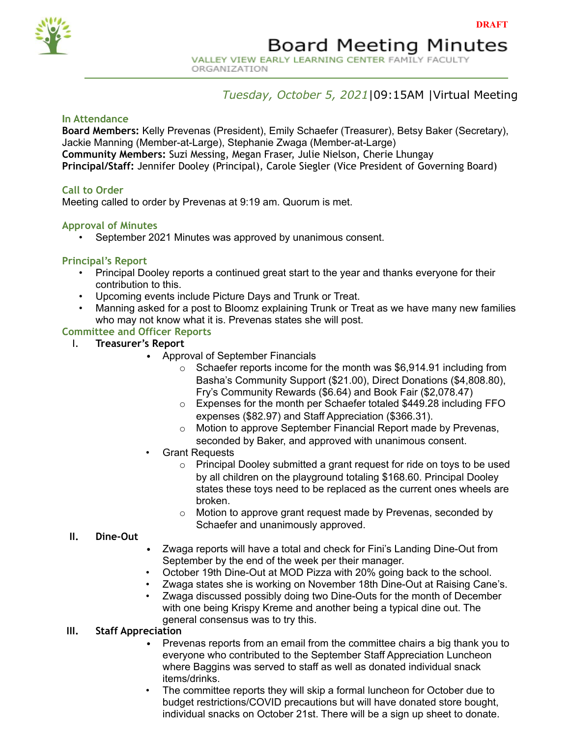

VALLEY VIEW EARLY LEARNING CENTER FAMILY FACULTY ORGANIZATION

# *Tuesday, October 5, 2021*|09:15AM |Virtual Meeting

# **In Attendance**

**Board Members:** Kelly Prevenas (President), Emily Schaefer (Treasurer), Betsy Baker (Secretary), Jackie Manning (Member-at-Large), Stephanie Zwaga (Member-at-Large) **Community Members:** Suzi Messing, Megan Fraser, Julie Nielson, Cherie Lhungay **Principal/Staff:** Jennifer Dooley (Principal), Carole Siegler (Vice President of Governing Board)

# **Call to Order**

Meeting called to order by Prevenas at 9:19 am. Quorum is met.

### **Approval of Minutes**

• September 2021 Minutes was approved by unanimous consent.

### **Principal's Report**

- Principal Dooley reports a continued great start to the year and thanks everyone for their contribution to this.
- Upcoming events include Picture Days and Trunk or Treat.
- Manning asked for a post to Bloomz explaining Trunk or Treat as we have many new families who may not know what it is. Prevenas states she will post.

### **Committee and Officer Reports**

- I. **Treasurer's Report**
	- Approval of September Financials
		- o Schaefer reports income for the month was \$6,914.91 including from Basha's Community Support (\$21.00), Direct Donations (\$4,808.80), Fry's Community Rewards (\$6.64) and Book Fair (\$2,078.47)
		- o Expenses for the month per Schaefer totaled \$449.28 including FFO expenses (\$82.97) and Staff Appreciation (\$366.31).
		- o Motion to approve September Financial Report made by Prevenas, seconded by Baker, and approved with unanimous consent.
	- Grant Requests
		- o Principal Dooley submitted a grant request for ride on toys to be used by all children on the playground totaling \$168.60. Principal Dooley states these toys need to be replaced as the current ones wheels are broken.
		- o Motion to approve grant request made by Prevenas, seconded by Schaefer and unanimously approved.

#### **II. Dine-Out**

- Zwaga reports will have a total and check for Fini's Landing Dine-Out from September by the end of the week per their manager.
- October 19th Dine-Out at MOD Pizza with 20% going back to the school.
- Zwaga states she is working on November 18th Dine-Out at Raising Cane's.
- Zwaga discussed possibly doing two Dine-Outs for the month of December with one being Krispy Kreme and another being a typical dine out. The general consensus was to try this.

#### **III. Staff Appreciation**

- Prevenas reports from an email from the committee chairs a big thank you to everyone who contributed to the September Staff Appreciation Luncheon where Baggins was served to staff as well as donated individual snack items/drinks.
- The committee reports they will skip a formal luncheon for October due to budget restrictions/COVID precautions but will have donated store bought, individual snacks on October 21st. There will be a sign up sheet to donate.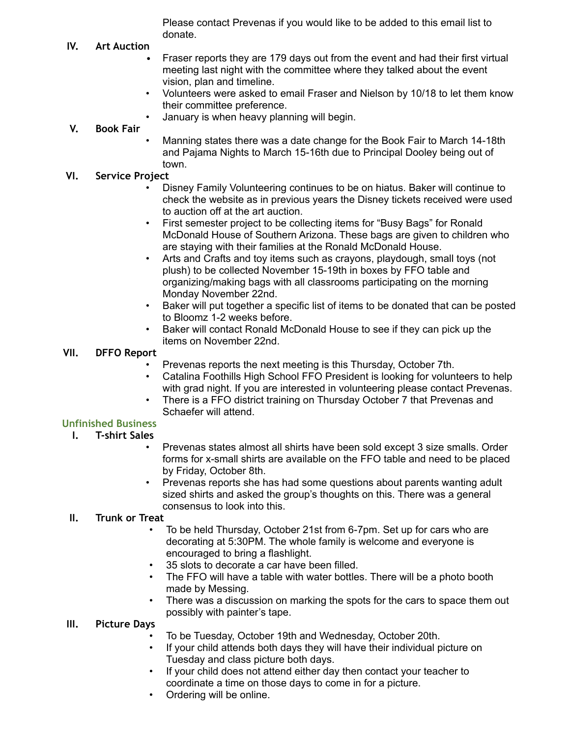Please contact Prevenas if you would like to be added to this email list to donate.

- **IV. Art Auction**
	- Fraser reports they are 179 days out from the event and had their first virtual meeting last night with the committee where they talked about the event vision, plan and timeline.
	- Volunteers were asked to email Fraser and Nielson by 10/18 to let them know their committee preference.
	- January is when heavy planning will begin.

# **V. Book Fair**

• Manning states there was a date change for the Book Fair to March 14-18th and Pajama Nights to March 15-16th due to Principal Dooley being out of town.

### **VI. Service Project**

- Disney Family Volunteering continues to be on hiatus. Baker will continue to check the website as in previous years the Disney tickets received were used to auction off at the art auction.
- First semester project to be collecting items for "Busy Bags" for Ronald McDonald House of Southern Arizona. These bags are given to children who are staying with their families at the Ronald McDonald House.
- Arts and Crafts and toy items such as crayons, playdough, small toys (not plush) to be collected November 15-19th in boxes by FFO table and organizing/making bags with all classrooms participating on the morning Monday November 22nd.
- Baker will put together a specific list of items to be donated that can be posted to Bloomz 1-2 weeks before.
- Baker will contact Ronald McDonald House to see if they can pick up the items on November 22nd.

### **VII. DFFO Report**

- Prevenas reports the next meeting is this Thursday, October 7th.
- Catalina Foothills High School FFO President is looking for volunteers to help with grad night. If you are interested in volunteering please contact Prevenas.
- There is a FFO district training on Thursday October 7 that Prevenas and Schaefer will attend.

#### **Unfinished Business**

- **I. T-shirt Sales**
	- Prevenas states almost all shirts have been sold except 3 size smalls. Order forms for x-small shirts are available on the FFO table and need to be placed by Friday, October 8th.
	- Prevenas reports she has had some questions about parents wanting adult sized shirts and asked the group's thoughts on this. There was a general consensus to look into this.

# **II. Trunk or Treat**

- To be held Thursday, October 21st from 6-7pm. Set up for cars who are decorating at 5:30PM. The whole family is welcome and everyone is encouraged to bring a flashlight.
- 35 slots to decorate a car have been filled.
- The FFO will have a table with water bottles. There will be a photo booth made by Messing.
- There was a discussion on marking the spots for the cars to space them out possibly with painter's tape.

#### **III. Picture Days**

- To be Tuesday, October 19th and Wednesday, October 20th.
- If your child attends both days they will have their individual picture on Tuesday and class picture both days.
- If your child does not attend either day then contact your teacher to coordinate a time on those days to come in for a picture.
- Ordering will be online.